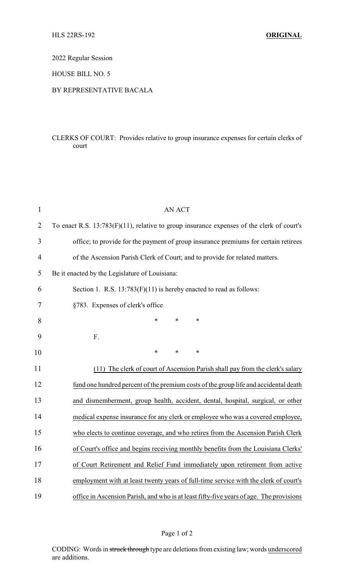2022 Regular Session

HOUSE BILL NO. 5

## BY REPRESENTATIVE BACALA

# CLERKS OF COURT: Provides relative to group insurance expenses for certain clerks of court

| $\mathbf{1}$   | <b>AN ACT</b>                                                                             |
|----------------|-------------------------------------------------------------------------------------------|
| $\overline{2}$ | To enact R.S. 13:783(F)(11), relative to group insurance expenses of the clerk of court's |
| 3              | office; to provide for the payment of group insurance premiums for certain retirees       |
| 4              | of the Ascension Parish Clerk of Court; and to provide for related matters.               |
| 5              | Be it enacted by the Legislature of Louisiana:                                            |
| 6              | Section 1. R.S. $13:783(F)(11)$ is hereby enacted to read as follows:                     |
| 7              | §783. Expenses of clerk's office                                                          |
| 8              | $\ast$<br>$\ast$<br>*                                                                     |
| 9              | F.                                                                                        |
| 10             | $\ast$<br>*<br>*                                                                          |
| 11             | (11) The clerk of court of Ascension Parish shall pay from the clerk's salary             |
| 12             | fund one hundred percent of the premium costs of the group life and accidental death      |
| 13             | and dismemberment, group health, accident, dental, hospital, surgical, or other           |
| 14             | medical expense insurance for any clerk or employee who was a covered employee,           |
| 15             | who elects to continue coverage, and who retires from the Ascension Parish Clerk          |
| 16             | of Court's office and begins receiving monthly benefits from the Louisiana Clerks'        |
| 17             | of Court Retirement and Relief Fund immediately upon retirement from active               |
| 18             | employment with at least twenty years of full-time service with the clerk of court's      |
| 19             | office in Ascension Parish, and who is at least fifty-five years of age. The provisions   |